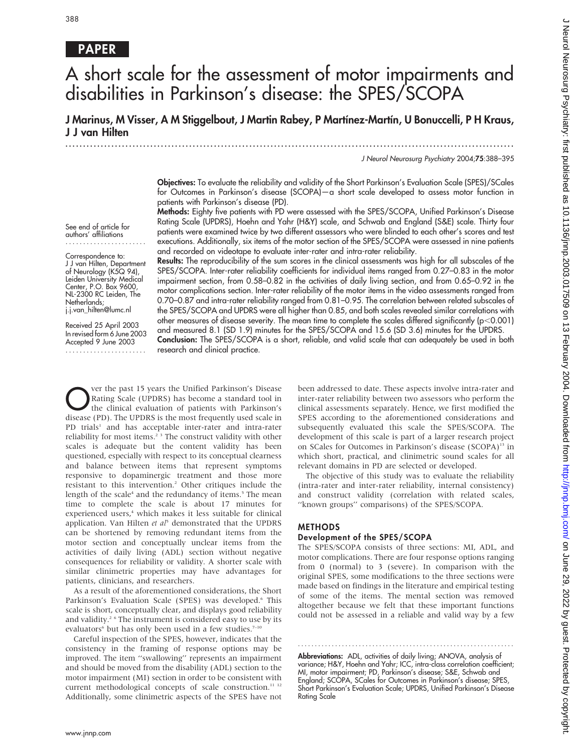# PAPER

# A short scale for the assessment of motor impairments and disabilities in Parkinson's disease: the SPES/SCOPA

J Marinus, M Visser, A M Stiggelbout, J Martin Rabey, P Martínez-Martín, U Bonuccelli, P H Kraus, J J van Hilten

.............................................................................................................................. .

J Neurol Neurosurg Psychiatry 2004;75:388–395

Objectives: To evaluate the reliability and validity of the Short Parkinson's Evaluation Scale (SPES)/SCales for Outcomes in Parkinson's disease (SCOPA)—a short scale developed to assess motor function in patients with Parkinson's disease (PD).

Methods: Eighty five patients with PD were assessed with the SPES/SCOPA, Unified Parkinson's Disease Rating Scale (UPDRS), Hoehn and Yahr (H&Y) scale, and Schwab and England (S&E) scale. Thirty four patients were examined twice by two different assessors who were blinded to each other's scores and test executions. Additionally, six items of the motor section of the SPES/SCOPA were assessed in nine patients and recorded on videotape to evaluate inter-rater and intra-rater reliability.

See end of article for authors' affiliations .......................

Correspondence to: J J van Hilten, Department of Neurology (K5Q 94), Leiden University Medical Center, P.O. Box 9600, NL-2300 RC Leiden, The Netherlands; j.j.van\_hilten@lumc.nl

Received 25 April 2003 In revised form 6 June 2003 Accepted 9 June 2003 .......................

Results: The reproducibility of the sum scores in the clinical assessments was high for all subscales of the SPES/SCOPA. Inter-rater reliability coefficients for individual items ranged from 0.27–0.83 in the motor impairment section, from 0.58–0.82 in the activities of daily living section, and from 0.65–0.92 in the motor complications section. Inter-rater reliability of the motor items in the video assessments ranged from 0.70–0.87 and intra-rater reliability ranged from 0.81–0.95. The correlation between related subscales of the SPES/SCOPA and UPDRS were all higher than 0.85, and both scales revealed similar correlations with other measures of disease severity. The mean time to complete the scales differed significantly ( $p<0.001$ ) and measured 8.1 (SD 1.9) minutes for the SPES/SCOPA and 15.6 (SD 3.6) minutes for the UPDRS. Conclusion: The SPES/SCOPA is a short, reliable, and valid scale that can adequately be used in both research and clinical practice.

Over the past 15 years the Unified Parkinson's Disease<br>Rating Scale (UPDRS) has become a standard tool in<br>the clinical evaluation of patients with Parkinson's<br>disease (PD). The UPDRS is the meet frequently used scale in Rating Scale (UPDRS) has become a standard tool in the clinical evaluation of patients with Parkinson's disease (PD). The UPDRS is the most frequently used scale in PD trials<sup>1</sup> and has acceptable inter-rater and intra-rater reliability for most items.<sup>2</sup> <sup>3</sup> The construct validity with other scales is adequate but the content validity has been questioned, especially with respect to its conceptual clearness and balance between items that represent symptoms responsive to dopaminergic treatment and those more resistant to this intervention.2 Other critiques include the length of the scale<sup>4</sup> and the redundancy of items.<sup>5</sup> The mean time to complete the scale is about 17 minutes for experienced users,<sup>4</sup> which makes it less suitable for clinical application. Van Hilten et  $al<sup>5</sup>$  demonstrated that the UPDRS can be shortened by removing redundant items from the motor section and conceptually unclear items from the activities of daily living (ADL) section without negative consequences for reliability or validity. A shorter scale with similar clinimetric properties may have advantages for patients, clinicians, and researchers.

As a result of the aforementioned considerations, the Short Parkinson's Evaluation Scale (SPES) was developed.<sup>6</sup> This scale is short, conceptually clear, and displays good reliability and validity.<sup>2</sup> <sup>6</sup> The instrument is considered easy to use by its evaluators<sup>6</sup> but has only been used in a few studies.<sup>7-10</sup>

Careful inspection of the SPES, however, indicates that the consistency in the framing of response options may be improved. The item ''swallowing'' represents an impairment and should be moved from the disability (ADL) section to the motor impairment (MI) section in order to be consistent with current methodological concepts of scale construction.<sup>11 12</sup> Additionally, some clinimetric aspects of the SPES have not been addressed to date. These aspects involve intra-rater and inter-rater reliability between two assessors who perform the clinical assessments separately. Hence, we first modified the SPES according to the aforementioned considerations and subsequently evaluated this scale the SPES/SCOPA. The development of this scale is part of a larger research project on SCales for Outcomes in Parkinson's disease (SCOPA)<sup>13</sup> in which short, practical, and clinimetric sound scales for all relevant domains in PD are selected or developed.

The objective of this study was to evaluate the reliability (intra-rater and inter-rater reliability, internal consistency) and construct validity (correlation with related scales, "known groups" comparisons) of the SPES/SCOPA.

#### METHODS

#### Development of the SPES/SCOPA

The SPES/SCOPA consists of three sections: MI, ADL, and motor complications. There are four response options ranging from 0 (normal) to 3 (severe). In comparison with the original SPES, some modifications to the three sections were made based on findings in the literature and empirical testing of some of the items. The mental section was removed altogether because we felt that these important functions could not be assessed in a reliable and valid way by a few

............................................................... .

Abbreviations: ADL, activities of daily living; ANOVA, analysis of variance; H&Y, Hoehn and Yahr; ICC, intra-class correlation coefficient; MI, motor impairment; PD, Parkinson's disease; S&E, Schwab and England; SCOPA, SCales for Outcomes in Parkinson's disease; SPES, Short Parkinson's Evaluation Scale; UPDRS, Unified Parkinson's Disease Rating Scale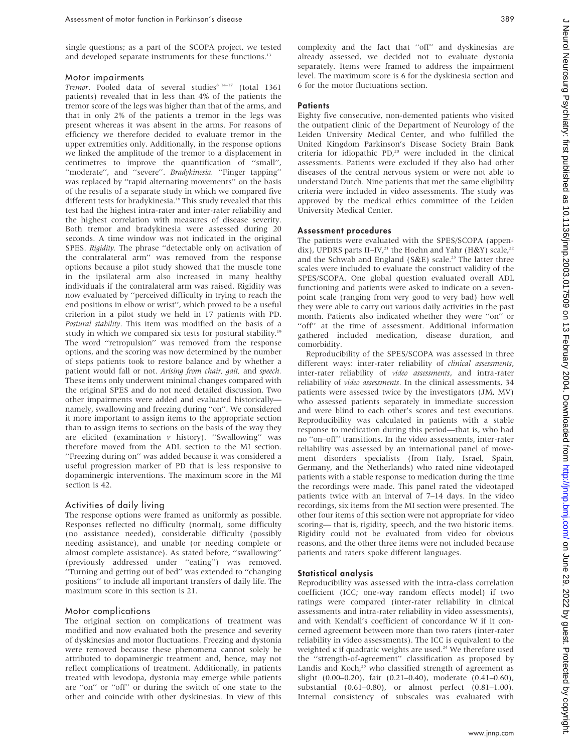single questions; as a part of the SCOPA project, we tested and developed separate instruments for these functions.<sup>13</sup>

#### Motor impairments

Tremor. Pooled data of several studies<sup>8 14-17</sup> (total 1361 patients) revealed that in less than 4% of the patients the tremor score of the legs was higher than that of the arms, and that in only 2% of the patients a tremor in the legs was present whereas it was absent in the arms. For reasons of efficiency we therefore decided to evaluate tremor in the upper extremities only. Additionally, in the response options we linked the amplitude of the tremor to a displacement in centimetres to improve the quantification of ''small'', ''moderate'', and ''severe''. Bradykinesia. ''Finger tapping'' was replaced by ''rapid alternating movements'' on the basis of the results of a separate study in which we compared five different tests for bradykinesia.<sup>18</sup> This study revealed that this test had the highest intra-rater and inter-rater reliability and the highest correlation with measures of disease severity. Both tremor and bradykinesia were assessed during 20 seconds. A time window was not indicated in the original SPES. Rigidity. The phrase ''detectable only on activation of the contralateral arm'' was removed from the response options because a pilot study showed that the muscle tone in the ipsilateral arm also increased in many healthy individuals if the contralateral arm was raised. Rigidity was now evaluated by ''perceived difficulty in trying to reach the end positions in elbow or wrist'', which proved to be a useful criterion in a pilot study we held in 17 patients with PD. Postural stability. This item was modified on the basis of a study in which we compared six tests for postural stability.19 The word ''retropulsion'' was removed from the response options, and the scoring was now determined by the number of steps patients took to restore balance and by whether a patient would fall or not. Arising from chair, gait, and speech. These items only underwent minimal changes compared with the original SPES and do not need detailed discussion. Two other impairments were added and evaluated historically namely, swallowing and freezing during ''on''. We considered it more important to assign items to the appropriate section than to assign items to sections on the basis of the way they are elicited (examination  $\nu$  history). "Swallowing" was therefore moved from the ADL section to the MI section. ''Freezing during on'' was added because it was considered a useful progression marker of PD that is less responsive to dopaminergic interventions. The maximum score in the MI section is 42.

#### Activities of daily living

The response options were framed as uniformly as possible. Responses reflected no difficulty (normal), some difficulty (no assistance needed), considerable difficulty (possibly needing assistance), and unable (or needing complete or almost complete assistance). As stated before, ''swallowing'' (previously addressed under ''eating'') was removed. ''Turning and getting out of bed'' was extended to ''changing positions'' to include all important transfers of daily life. The maximum score in this section is 21.

#### Motor complications

The original section on complications of treatment was modified and now evaluated both the presence and severity of dyskinesias and motor fluctuations. Freezing and dystonia were removed because these phenomena cannot solely be attributed to dopaminergic treatment and, hence, may not reflect complications of treatment. Additionally, in patients treated with levodopa, dystonia may emerge while patients are ''on'' or ''off'' or during the switch of one state to the other and coincide with other dyskinesias. In view of this complexity and the fact that ''off'' and dyskinesias are already assessed, we decided not to evaluate dystonia separately. Items were framed to address the impairment level. The maximum score is 6 for the dyskinesia section and 6 for the motor fluctuations section.

#### **Patients**

Eighty five consecutive, non-demented patients who visited the outpatient clinic of the Department of Neurology of the Leiden University Medical Center, and who fulfilled the United Kingdom Parkinson's Disease Society Brain Bank criteria for idiopathic PD,20 were included in the clinical assessments. Patients were excluded if they also had other diseases of the central nervous system or were not able to understand Dutch. Nine patients that met the same eligibility criteria were included in video assessments. The study was approved by the medical ethics committee of the Leiden University Medical Center.

#### Assessment procedures

The patients were evaluated with the SPES/SCOPA (appendix), UPDRS parts II–IV,<sup>21</sup> the Hoehn and Yahr (H&Y) scale,<sup>22</sup> and the Schwab and England (S&E) scale.<sup>23</sup> The latter three scales were included to evaluate the construct validity of the SPES/SCOPA. One global question evaluated overall ADL functioning and patients were asked to indicate on a sevenpoint scale (ranging from very good to very bad) how well they were able to carry out various daily activities in the past month. Patients also indicated whether they were ''on'' or "off" at the time of assessment. Additional information gathered included medication, disease duration, and comorbidity.

Reproducibility of the SPES/SCOPA was assessed in three different ways: inter-rater reliability of *clinical assessments*, inter-rater reliability of video assessments, and intra-rater reliability of video assessments. In the clinical assessments, 34 patients were assessed twice by the investigators (JM, MV) who assessed patients separately in immediate succession and were blind to each other's scores and test executions. Reproducibility was calculated in patients with a stable response to medication during this period—that is, who had no ''on–off'' transitions. In the video assessments, inter-rater reliability was assessed by an international panel of movement disorders specialists (from Italy, Israel, Spain, Germany, and the Netherlands) who rated nine videotaped patients with a stable response to medication during the time the recordings were made. This panel rated the videotaped patients twice with an interval of 7–14 days. In the video recordings, six items from the MI section were presented. The other four items of this section were not appropriate for video scoring— that is, rigidity, speech, and the two historic items. Rigidity could not be evaluated from video for obvious reasons, and the other three items were not included because patients and raters spoke different languages.

#### Statistical analysis

Reproducibility was assessed with the intra-class correlation coefficient (ICC; one-way random effects model) if two ratings were compared (inter-rater reliability in clinical assessments and intra-rater reliability in video assessments), and with Kendall's coefficient of concordance W if it concerned agreement between more than two raters (inter-rater reliability in video assessments). The ICC is equivalent to the weighted  $\kappa$  if quadratic weights are used.<sup>24</sup> We therefore used the ''strength-of-agreement'' classification as proposed by Landis and Koch,<sup>25</sup> who classified strength of agreement as slight (0.00–0.20), fair (0.21–0.40), moderate (0.41–0.60), substantial (0.61–0.80), or almost perfect (0.81–1.00). Internal consistency of subscales was evaluated with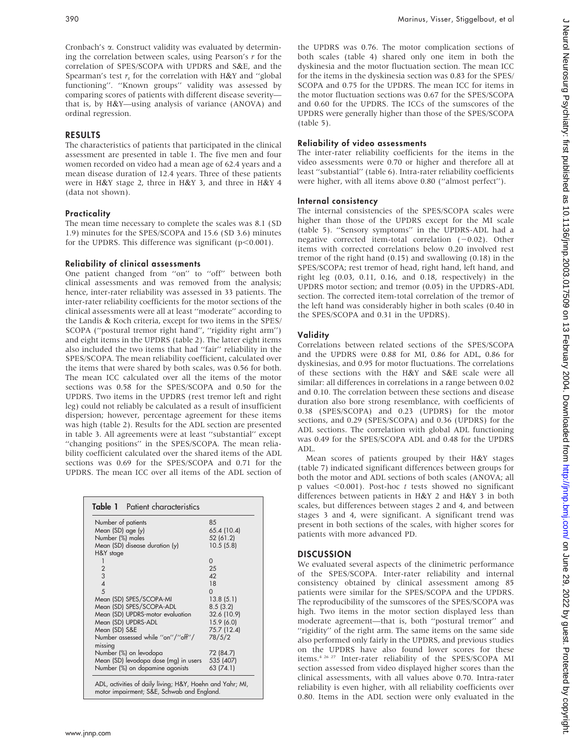Cronbach's a. Construct validity was evaluated by determining the correlation between scales, using Pearson's  $r$  for the correlation of SPES/SCOPA with UPDRS and S&E, and the Spearman's test  $r_s$  for the correlation with H&Y and "global" functioning''. ''Known groups'' validity was assessed by comparing scores of patients with different disease severity that is, by H&Y—using analysis of variance (ANOVA) and ordinal regression.

#### RESULTS

The characteristics of patients that participated in the clinical assessment are presented in table 1. The five men and four women recorded on video had a mean age of 62.4 years and a mean disease duration of 12.4 years. Three of these patients were in H&Y stage 2, three in H&Y 3, and three in H&Y 4 (data not shown).

#### **Practicality**

The mean time necessary to complete the scales was 8.1 (SD 1.9) minutes for the SPES/SCOPA and 15.6 (SD 3.6) minutes for the UPDRS. This difference was significant ( $p<0.001$ ).

#### Reliability of clinical assessments

One patient changed from "on" to "off" between both clinical assessments and was removed from the analysis; hence, inter-rater reliability was assessed in 33 patients. The inter-rater reliability coefficients for the motor sections of the clinical assessments were all at least ''moderate'' according to the Landis & Koch criteria, except for two items in the SPES/ SCOPA (''postural tremor right hand'', ''rigidity right arm'') and eight items in the UPDRS (table 2). The latter eight items also included the two items that had ''fair'' reliability in the SPES/SCOPA. The mean reliability coefficient, calculated over the items that were shared by both scales, was 0.56 for both. The mean ICC calculated over all the items of the motor sections was 0.58 for the SPES/SCOPA and 0.50 for the UPDRS. Two items in the UPDRS (rest tremor left and right leg) could not reliably be calculated as a result of insufficient dispersion; however, percentage agreement for these items was high (table 2). Results for the ADL section are presented in table 3. All agreements were at least ''substantial'' except ''changing positions'' in the SPES/SCOPA. The mean reliability coefficient calculated over the shared items of the ADL sections was 0.69 for the SPES/SCOPA and 0.71 for the UPDRS. The mean ICC over all items of the ADL section of

| Number of patients<br>Mean (SD) age (y)<br>Number (%) males | 85<br>65.4 (10.4) |
|-------------------------------------------------------------|-------------------|
|                                                             |                   |
|                                                             |                   |
|                                                             | 52 (61.2)         |
| Mean (SD) disease duration (y)                              | 10.5(5.8)         |
| H&Y stage                                                   |                   |
|                                                             | 0                 |
| $\overline{2}$                                              | 25                |
|                                                             | 42                |
|                                                             | 18                |
| $\begin{array}{c} 3 \\ 4 \\ 5 \end{array}$                  | $\Omega$          |
| Mean (SD) SPES/SCOPA-MI                                     | 13.8(5.1)         |
| Mean (SD) SPES/SCOPA-ADL                                    | 8.5(3.2)          |
| Mean (SD) UPDRS-motor evaluation                            | 32.6 (10.9)       |
| Mean (SD) UPDRS-ADL                                         | 15.9(6.0)         |
| Mean (SD) S&E                                               | 75.7 (12.4)       |
| Number assessed while "on"/"off"/                           | 78/5/2            |
| missing                                                     |                   |
| Number (%) on levodopa                                      | 72 (84.7)         |
| Mean (SD) levodopa dose (mg) in users                       | 535 (407)         |
| Number (%) on dopamine agonists                             | 63 (74.1)         |

the UPDRS was 0.76. The motor complication sections of both scales (table 4) shared only one item in both the dyskinesia and the motor fluctuation section. The mean ICC for the items in the dyskinesia section was 0.83 for the SPES/ SCOPA and 0.75 for the UPDRS. The mean ICC for items in the motor fluctuation sections was 0.67 for the SPES/SCOPA and 0.60 for the UPDRS. The ICCs of the sumscores of the UPDRS were generally higher than those of the SPES/SCOPA (table 5).

#### Reliability of video assessments

The inter-rater reliability coefficients for the items in the video assessments were 0.70 or higher and therefore all at least ''substantial'' (table 6). Intra-rater reliability coefficients were higher, with all items above 0.80 (''almost perfect'').

#### Internal consistency

The internal consistencies of the SPES/SCOPA scales were higher than those of the UPDRS except for the MI scale (table 5). ''Sensory symptoms'' in the UPDRS-ADL had a negative corrected item-total correlation  $(-0.02)$ . Other items with corrected correlations below 0.20 involved rest tremor of the right hand (0.15) and swallowing (0.18) in the SPES/SCOPA; rest tremor of head, right hand, left hand, and right leg (0.03, 0.11, 0.16, and 0.18, respectively) in the UPDRS motor section; and tremor (0.05) in the UPDRS-ADL section. The corrected item-total correlation of the tremor of the left hand was considerably higher in both scales (0.40 in the SPES/SCOPA and 0.31 in the UPDRS).

#### Validity

Correlations between related sections of the SPES/SCOPA and the UPDRS were 0.88 for MI, 0.86 for ADL, 0.86 for dyskinesias, and 0.95 for motor fluctuations. The correlations of these sections with the H&Y and S&E scale were all similar: all differences in correlations in a range between 0.02 and 0.10. The correlation between these sections and disease duration also bore strong resemblance, with coefficients of 0.38 (SPES/SCOPA) and 0.23 (UPDRS) for the motor sections, and 0.29 (SPES/SCOPA) and 0.36 (UPDRS) for the ADL sections. The correlation with global ADL functioning was 0.49 for the SPES/SCOPA ADL and 0.48 for the UPDRS ADL.

Mean scores of patients grouped by their H&Y stages (table 7) indicated significant differences between groups for both the motor and ADL sections of both scales (ANOVA; all p values  $\leq 0.001$ ). Post-hoc t tests showed no significant differences between patients in H&Y 2 and H&Y 3 in both scales, but differences between stages 2 and 4, and between stages 3 and 4, were significant. A significant trend was present in both sections of the scales, with higher scores for patients with more advanced PD.

#### **DISCUSSION**

We evaluated several aspects of the clinimetric performance of the SPES/SCOPA. Inter-rater reliability and internal consistency obtained by clinical assessment among 85 patients were similar for the SPES/SCOPA and the UPDRS. The reproducibility of the sumscores of the SPES/SCOPA was high. Two items in the motor section displayed less than moderate agreement—that is, both ''postural tremor'' and "rigidity" of the right arm. The same items on the same side also performed only fairly in the UPDRS, and previous studies on the UPDRS have also found lower scores for these items.4 26 27 Inter-rater reliability of the SPES/SCOPA MI section assessed from video displayed higher scores than the clinical assessments, with all values above 0.70. Intra-rater reliability is even higher, with all reliability coefficients over 0.80. Items in the ADL section were only evaluated in the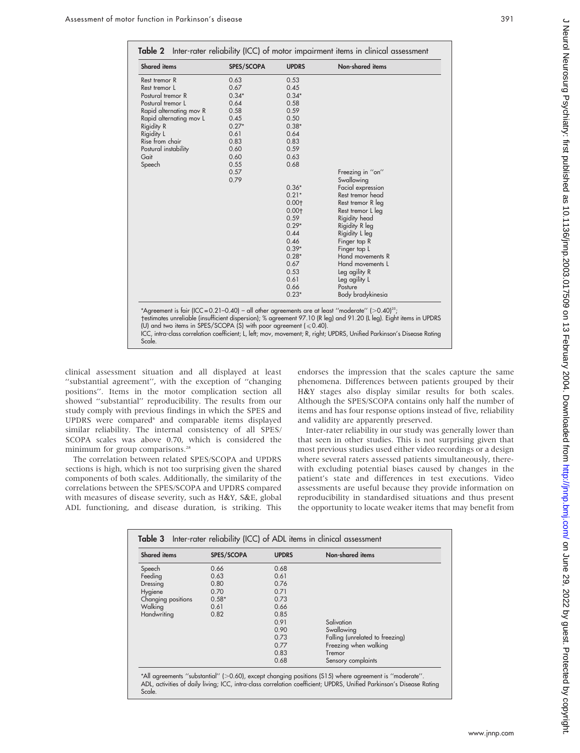| <b>Shared</b> items     | SPES/SCOPA   | <b>UPDRS</b> | Non-shared items                      |
|-------------------------|--------------|--------------|---------------------------------------|
| Rest tremor R           | 0.63         | 0.53         |                                       |
| Rest tremor L           | 0.67         | 0.45         |                                       |
| Postural tremor R       | $0.34*$      | $0.34*$      |                                       |
| Postural tremor L       | 0.64         | 0.58         |                                       |
| Rapid alternating mov R | 0.58         | 0.59         |                                       |
| Rapid alternating mov L | 0.45         | 0.50         |                                       |
| Rigidity R              | $0.27*$      | $0.38*$      |                                       |
| Rigidity L              | 0.61         | 0.64         |                                       |
| Rise from chair         | 0.83         | 0.83         |                                       |
| Postural instability    | 0.60         | 0.59         |                                       |
| Gait                    | 0.60         | 0.63         |                                       |
| Speech                  | 0.55         | 0.68         |                                       |
|                         | 0.57<br>0.79 |              | Freezing in "on"                      |
|                         |              | $0.36*$      | Swallowing                            |
|                         |              | $0.21*$      | Facial expression<br>Rest tremor head |
|                         |              | 0.001        | Rest tremor R leg                     |
|                         |              | 0.001        | Rest tremor L leg                     |
|                         |              | 0.59         | Rigidity head                         |
|                         |              | $0.29*$      | Rigidity R leg                        |
|                         |              | 0.44         | Rigidity L leg                        |
|                         |              | 0.46         | Finger tap R                          |
|                         |              | $0.39*$      | Finger tap L                          |
|                         |              | $0.28*$      | Hand movements R                      |
|                         |              | 0.67         | Hand movements L                      |
|                         |              | 0.53         | Leg agility R                         |
|                         |              | 0.61         | Leg agility L                         |
|                         |              | 0.66         | Posture                               |
|                         |              | $0.23*$      | Body bradykinesia                     |

clinical assessment situation and all displayed at least ''substantial agreement'', with the exception of ''changing positions''. Items in the motor complication section all showed ''substantial'' reproducibility. The results from our study comply with previous findings in which the SPES and UPDRS were compared<sup>6</sup> and comparable items displayed similar reliability. The internal consistency of all SPES/ SCOPA scales was above 0.70, which is considered the minimum for group comparisons.<sup>28</sup>

**Scale** 

The correlation between related SPES/SCOPA and UPDRS sections is high, which is not too surprising given the shared components of both scales. Additionally, the similarity of the correlations between the SPES/SCOPA and UPDRS compared with measures of disease severity, such as H&Y, S&E, global ADL functioning, and disease duration, is striking. This

Scale.

endorses the impression that the scales capture the same phenomena. Differences between patients grouped by their H&Y stages also display similar results for both scales. Although the SPES/SCOPA contains only half the number of items and has four response options instead of five, reliability and validity are apparently preserved.

Inter-rater reliability in our study was generally lower than that seen in other studies. This is not surprising given that most previous studies used either video recordings or a design where several raters assessed patients simultaneously, therewith excluding potential biases caused by changes in the patient's state and differences in test executions. Video assessments are useful because they provide information on reproducibility in standardised situations and thus present the opportunity to locate weaker items that may benefit from

| <b>Shared</b> items | SPES/SCOPA | <b>UPDRS</b> | Non-shared items                |
|---------------------|------------|--------------|---------------------------------|
| Speech              | 0.66       | 0.68         |                                 |
| Feeding             | 0.63       | 0.61         |                                 |
| Dressing            | 0.80       | 0.76         |                                 |
| Hygiene             | 0.70       | 0.71         |                                 |
| Changing positions  | $0.58*$    | 0.73         |                                 |
| Walking             | 0.61       | 0.66         |                                 |
| Handwriting         | 0.82       | 0.85         |                                 |
|                     |            | 0.91         | Salivation                      |
|                     |            | 0.90         | Swallowing                      |
|                     |            | 0.73         | Falling (unrelated to freezing) |
|                     |            | 0.77         | Freezing when walking           |
|                     |            | 0.83         | Tremor                          |
|                     |            | 0.68         | Sensory complaints              |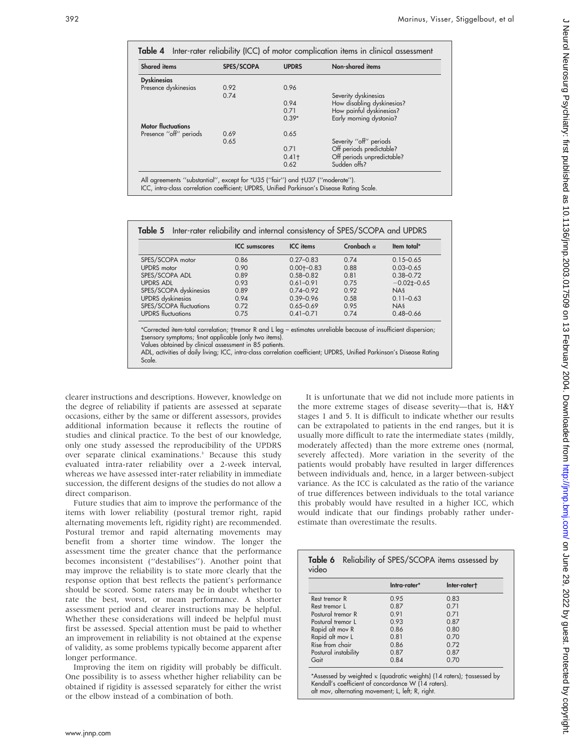| <b>Shared</b> items       | <b>SPES/SCOPA</b> | <b>UPDRS</b>        | Non-shared items           |
|---------------------------|-------------------|---------------------|----------------------------|
| <b>Dyskinesias</b>        |                   |                     |                            |
| Presence dyskinesias      | 0.92              | 0.96                |                            |
|                           | 0.74              |                     | Severity dyskinesias       |
|                           |                   | 0.94                | How disabling dyskinesias? |
|                           |                   | 0.71                | How painful dyskinesias?   |
|                           |                   | $0.39*$             | Early morning dystonia?    |
| <b>Motor fluctuations</b> |                   |                     |                            |
| Presence "off" periods    | 0.69              | 0.65                |                            |
|                           | 0.65              |                     | Severity "off" periods     |
|                           |                   | 0.71                | Off periods predictable?   |
|                           |                   | $0.41$ <sup>+</sup> | Off periods unpredictable? |
|                           |                   | 0.62                | Sudden offs?               |

ICC, intra-class correlation coefficient; UPDRS, Unified Parkinson's Disease Rating Scale.

|                           | <b>ICC</b> sumscores | <b>ICC</b> items | Cronbach $\alpha$ | Item total*     |
|---------------------------|----------------------|------------------|-------------------|-----------------|
| SPES/SCOPA motor          | 0.86                 | $0.27 - 0.83$    | 0.74              | $0.15 - 0.65$   |
| <b>UPDRS</b> motor        | 0.90                 | $0.00 + -0.83$   | 0.88              | $0.03 - 0.65$   |
| SPES/SCOPA ADL            | 0.89                 | $0.58 - 0.82$    | 0.81              | $0.38 - 0.72$   |
| <b>UPDRS ADL</b>          | 0.93                 | $0.61 - 0.91$    | 0.75              | $-0.02t - 0.65$ |
| SPES/SCOPA dyskinesias    | 0.89                 | $0.74 - 0.92$    | 0.92              | <b>NAS</b>      |
| <b>UPDRS</b> dyskinesias  | 0.94                 | $0.39 - 0.96$    | 0.58              | $0.11 - 0.63$   |
| SPES/SCOPA fluctuations   | 0.72                 | $0.65 - 0.69$    | 0.95              | <b>NAS</b>      |
| <b>UPDRS</b> fluctuations | 0.75                 | $0.41 - 0.71$    | 0.74              | $0.48 - 0.66$   |

\*Corrected item-total correlation; †tremor R and L leg – estimates unreliable because of insufficient dispersion, ‡sensory symptoms; §not applicable (only two items).

Values obtained by clinical assessment in 85 patients.

ADL, activities of daily living; ICC, intra-class correlation coefficient; UPDRS, Unified Parkinson's Disease Rating Scale.

clearer instructions and descriptions. However, knowledge on the degree of reliability if patients are assessed at separate occasions, either by the same or different assessors, provides additional information because it reflects the routine of studies and clinical practice. To the best of our knowledge, only one study assessed the reproducibility of the UPDRS over separate clinical examinations.<sup>3</sup> Because this study evaluated intra-rater reliability over a 2-week interval, whereas we have assessed inter-rater reliability in immediate succession, the different designs of the studies do not allow a direct comparison.

Future studies that aim to improve the performance of the items with lower reliability (postural tremor right, rapid alternating movements left, rigidity right) are recommended. Postural tremor and rapid alternating movements may benefit from a shorter time window. The longer the assessment time the greater chance that the performance becomes inconsistent (''destabilises''). Another point that may improve the reliability is to state more clearly that the response option that best reflects the patient's performance should be scored. Some raters may be in doubt whether to rate the best, worst, or mean performance. A shorter assessment period and clearer instructions may be helpful. Whether these considerations will indeed be helpful must first be assessed. Special attention must be paid to whether an improvement in reliability is not obtained at the expense of validity, as some problems typically become apparent after longer performance.

Improving the item on rigidity will probably be difficult. One possibility is to assess whether higher reliability can be obtained if rigidity is assessed separately for either the wrist or the elbow instead of a combination of both.

It is unfortunate that we did not include more patients in the more extreme stages of disease severity—that is, H&Y stages 1 and 5. It is difficult to indicate whether our results can be extrapolated to patients in the end ranges, but it is usually more difficult to rate the intermediate states (mildly, moderately affected) than the more extreme ones (normal, severely affected). More variation in the severity of the patients would probably have resulted in larger differences between individuals and, hence, in a larger between-subject variance. As the ICC is calculated as the ratio of the variance of true differences between individuals to the total variance this probably would have resulted in a higher ICC, which would indicate that our findings probably rather underestimate than overestimate the results.

|                      | Intra-rater* | Inter-rater† |
|----------------------|--------------|--------------|
| Rest tremor R        | 0.95         | 0.83         |
| Rest tremor L        | 0.87         | 0.71         |
| Postural tremor R    | 0.91         | 0.71         |
| Postural tremor L    | 0.93         | 0.87         |
| Rapid alt mov R      | 0.86         | 0.80         |
| Rapid alt mov L      | 0.81         | 0.70         |
| Rise from chair      | 0.86         | 0.72         |
| Postural instability | 0.87         | 0.87         |
| Gait                 | 0.84         | 0.70         |

\*Assessed by weighted  $\kappa$  (quadratic weights) (14 raters);  $\uparrow$  assessed by Kendall's coefficient of concordance W (14 raters). alt mov, alternating movement; L, left; R, right.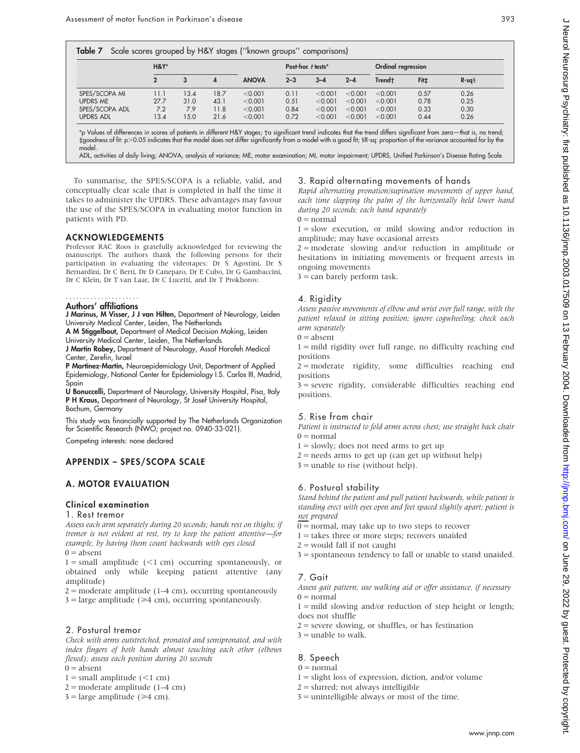|                                                                        | <b>H&amp;Y*</b>             |                            |                              | Post-hoc t tests*                        |                              |                                          | Ordinal regression                       |                                          |                              |                              |
|------------------------------------------------------------------------|-----------------------------|----------------------------|------------------------------|------------------------------------------|------------------------------|------------------------------------------|------------------------------------------|------------------------------------------|------------------------------|------------------------------|
|                                                                        |                             |                            | 4                            | <b>ANOVA</b>                             | $2 - 3$                      | $3 - 4$                                  | $2 - 4$                                  | Trendt                                   | Fitt                         | $R-sqS$                      |
| SPES/SCOPA MI<br><b>UPDRS ME</b><br>SPES/SCOPA ADL<br><b>UPDRS ADL</b> | 11.1<br>27.7<br>7.2<br>13.4 | 13.4<br>31.0<br>7.9<br>5.0 | 18.7<br>43.1<br>11.8<br>21.6 | < 0.001<br>< 0.001<br>< 0.001<br>< 0.001 | 0.11<br>0.51<br>0.84<br>0.72 | < 0.001<br>< 0.001<br>< 0.001<br>< 0.001 | < 0.001<br>< 0.001<br>< 0.001<br>< 0.001 | < 0.001<br>< 0.001<br>< 0.001<br>< 0.001 | 0.57<br>0.78<br>0.33<br>0.44 | 0.26<br>0.25<br>0.30<br>0.26 |

\*p Values ot ditterences in scores ot patients in ditterent H&Y stages; †a signiticant trend indicates that the trend ditters signiticant trom zero—that is, no trend; `goodness of fit: p.0.05 indicates that the model does not differ significantly from a model with a good fit; 1R-sq: proportion of the variance accounted for by the model.

ADL, activities of daily living; ANOVA, analysis of variance; ME, motor examination; MI, motor impairment; UPDRS, Unified Parkinson's Disease Rating Scale.

To summarise, the SPES/SCOPA is a reliable, valid, and conceptually clear scale that is completed in half the time it takes to administer the UPDRS. These advantages may favour the use of the SPES/SCOPA in evaluating motor function in patients with PD.

#### ACKNOWLEDGEMENTS

Professor RAC Roos is gratefully acknowledged for reviewing the manuscript. The authors thank the following persons for their participation in evaluating the videotapes: Dr S Agostini, Dr S Bernardini, Dr C Berti, Dr D Caneparo, Dr E Cubo, Dr G Gambaccini, Dr C Klein, Dr T van Laar, Dr C Lucetti, and Dr T Prokhorov.

#### Authors' affiliations .....................

J Marinus, M Visser, J J van Hilten, Department of Neurology, Leiden University Medical Center, Leiden, The Netherlands

A M Stiggelbout, Department of Medical Decision Making, Leiden

University Medical Center, Leiden, The Netherlands J Martin Rabey, Department of Neurology, Assaf Harofeh Medical Center, Zerefin, Israel

P Martinez-Martin, Neuroepidemiology Unit, Department of Applied Epidemiology, National Center for Epidemiology I.S. Carlos III, Madrid, Spain

U Bonuccelli, Department of Neurology, University Hospital, Pisa, Italy P H Kraus, Department of Neurology, St Josef University Hospital, Bochum, Germany

This study was financially supported by The Netherlands Organization for Scientific Research (NWO; project no. 0940-33-021).

Competing interests: none declared

### APPENDIX – SPES/SCOPA SCALE

#### A. MOTOR EVALUATION

#### Clinical examination

#### 1. Rest tremor

Assess each arm separately during 20 seconds; hands rest on thighs; if tremor is not evident at rest, try to keep the patient attentive—for example, by having them count backwards with eyes closed  $0 =$ absent

 $1 = \text{small amplitude } (<1 \text{ cm})$  occurring spontaneously, or obtained only while keeping patient attentive (any amplitude)

 $2 =$  moderate amplitude (1–4 cm), occurring spontaneously  $3 = \text{large amplitude } (\geq 4 \text{ cm})$ , occurring spontaneously.

#### 2. Postural tremor

Check with arms outstretched, pronated and semipronated, and with index fingers of both hands almost touching each other (elbows flexed); assess each position during 20 seconds  $0 =$ absent

 $1 =$ small amplitude (<1 cm)

 $2 =$  moderate amplitude (1–4 cm)

 $3 = \text{large amplitude } (\geq 4 \text{ cm}).$ 

#### 3. Rapid alternating movements of hands

Rapid alternating pronation/supination movements of upper hand, each time slapping the palm of the horizontally held lower hand during 20 seconds; each hand separately

 $0 = normal$ 

 $1 =$  slow execution, or mild slowing and/or reduction in amplitude; may have occasional arrests

 $2 =$  moderate slowing and/or reduction in amplitude or hesitations in initiating movements or frequent arrests in ongoing movements

 $3 =$  can barely perform task.

#### 4. Rigidity

Assess passive movements of elbow and wrist over full range, with the patient relaxed in sitting position; ignore cogwheeling; check each arm separately

 $0 =$  absent

1 = mild rigidity over full range, no difficulty reaching end positions

 $2 =$  moderate rigidity, some difficulties reaching end positions

 $3$  = severe rigidity, considerable difficulties reaching end positions.

#### 5. Rise from chair

Patient is instructed to fold arms across chest; use straight back chair  $0 = normal$ 

- $1 =$  slowly; does not need arms to get up
- $2 =$  needs arms to get up (can get up without help)
- $3 =$  unable to rise (without help).

#### 6. Postural stability

Stand behind the patient and pull patient backwards, while patient is standing erect with eyes open and feet spaced slightly apart; patient is not prepared

- $0 =$  normal, may take up to two steps to recover
- 1 = takes three or more steps; recovers unaided
- $2 =$  would fall if not caught
- 3 = spontaneous tendency to fall or unable to stand unaided.

#### 7. Gait

Assess gait pattern; use walking aid or offer assistance, if necessary  $0 = normal$ 

 $1 =$  mild slowing and/or reduction of step height or length; does not shuffle

 $2$  = severe slowing, or shuffles, or has festination  $3 =$  unable to walk.

- 8. Speech
- $0 = normal$
- $1 =$  slight loss of expression, diction, and/or volume
- $2 =$  slurred; not always intelligible
- 3 = unintelligible always or most of the time.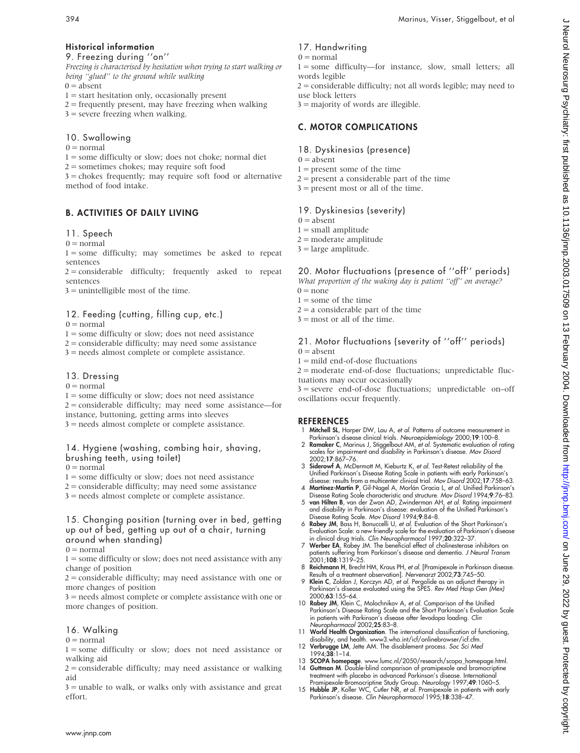#### Historical information

#### 9. Freezing during ''on''

Freezing is characterised by hesitation when trying to start walking or being ''glued'' to the ground while walking  $0 =$ absent

 $1 =$  start hesitation only, occasionally present

 $2 =$  frequently present, may have freezing when walking

 $3$  = severe freezing when walking.

### 10. Swallowing

 $0 = normal$ 

 $1 =$ some difficulty or slow; does not choke; normal diet

2 = sometimes chokes; may require soft food

3 = chokes frequently; may require soft food or alternative method of food intake.

# B. ACTIVITIES OF DAILY LIVING

#### 11. Speech

 $0 = normal$ 

 $1 =$ some difficulty; may sometimes be asked to repeat sentences

2 = considerable difficulty; frequently asked to repeat sentences

3 = unintelligible most of the time.

# 12. Feeding (cutting, filling cup, etc.)

 $0 = normal$ 

 $1 =$ some difficulty or slow; does not need assistance

 $2$  = considerable difficulty; may need some assistance

3 = needs almost complete or complete assistance.

#### 13. Dressing

 $0 = normal$ 

 $1 =$ some difficulty or slow; does not need assistance

 $2 =$ considerable difficulty; may need some assistance—for instance, buttoning, getting arms into sleeves 3 = needs almost complete or complete assistance.

14. Hygiene (washing, combing hair, shaving, brushing teeth, using toilet)

 $0 = normal$ 

 $1 =$ some difficulty or slow; does not need assistance

 $2 =$ considerable difficulty; may need some assistance

3 = needs almost complete or complete assistance.

#### 15. Changing position (turning over in bed, getting up out of bed, getting up out of a chair, turning around when standing)

 $0 = normal$ 

 $1 =$  some difficulty or slow; does not need assistance with any change of position

 $2 =$ considerable difficulty; may need assistance with one or more changes of position

3 = needs almost complete or complete assistance with one or more changes of position.

### 16. Walking

#### $0 = normal$

1 = some difficulty or slow; does not need assistance or walking aid

 $2 =$ considerable difficulty; may need assistance or walking aid

3 = unable to walk, or walks only with assistance and great effort.

# 17. Handwriting

 $0 = normal$  $1 =$ some difficulty—for instance, slow, small letters; all

words legible  $2 =$  considerable difficulty; not all words legible; may need to

use block letters

3 = majority of words are illegible.

## C. MOTOR COMPLICATIONS

#### 18. Dyskinesias (presence)

 $0 = **absent**$ 

- $1 =$  present some of the time
- $2$  = present a considerable part of the time
- 3 = present most or all of the time.

#### 19. Dyskinesias (severity)

 $0 =$ absent

- $1 =$ small amplitude
- 2 = moderate amplitude
- 3 = large amplitude.

# 20. Motor fluctuations (presence of ''off'' periods)

What proportion of the waking day is patient "off" on average?  $0 = none$ 

- $1 =$ some of the time
- $2 = a$  considerable part of the time
- $3 =$  most or all of the time.

#### 21. Motor fluctuations (severity of ''off'' periods)  $0 =$ absent

- $1 =$  mild end-of-dose fluctuations
- $2 =$  moderate end-of-dose fluctuations; unpredictable fluctuations may occur occasionally

J Neurol Neurosurg Psychiatry: first published as 10.11136/jnnp.2003.017509 on 13 February 2004. Downloaded from http://jnnp.bmj.com/ on June 29, 2022 by guest. Protected by copyright J Neurol Neurosurg Psychiatry: first published as 10.1136/jnnp.2003.017509 on 13 February 2004. Downloaded from Downloaded from thtp://jnnp.bmj.com/ on June 29, 2022 by guest. Protected by copyright.

3 = severe end-of-dose fluctuations; unpredictable on–off oscillations occur frequently.

#### REFERENCES

- 
- 1 **Mitchell SL**, Harper DW, Lau A, *et al.* Patterns of outcome measurement in Parkinson's disease clinical trials. Neuroepidemiology 2000;19:100-8.<br>2 **Ramaker C**, Marinus J, Stiggelbout AM, *et al.* Systematic evaluation 2002;17:867–76.
- Siderowf A, McDermott M, Kieburtz K, et al. Test-Retest reliability of the Unified Parkinson's Disease Rating Scale in patients with early Parkinson's disease: results from a multicenter clinical trial. Mov Disord 2002;17:758–63.
- 4 Martínez-Martin P, Gil-Nagel A, Morlán Gracia L, et al. Unitied Parkinson's<br>Disease Rating Scale characteristic and structure. Mov Disord 1994;9:76–83.
- 5 van Hilten B, van der Zwan AD, Zwinderman AH, et al. Rating impairment and disability in Parkinson's disease: evaluation of the Unified Parkinson's Disease Rating Scale. Mov Disord 1994;9:84–8.
- 6 Rabey JM, Bass H, Bonuccelli U, et al. Evaluation of the Short Parkinson's Evaluation Scale: a new friendly scale for the evaluation of Parkinson's disease
- in clinical drug trials. *Clin Neuropharmacol* 1997;**20**:322–37.<br>7 Werber EA, Rabey JM. The beneficial effect of cholinesterase inhibitors or patients suffering from Parkinson's disease and dementia. *J Neural Transm*<br>2001;**108**:1319–25.
- 8 Reichmann H, Brecht HM, Kraus PH, et al. [Pramipexole in Parkinson disease.
- Results of a treatment observation]. Nervenarzt 2002;**73**:745–50.<br>9 **Klein C**, Zoldan J, Korczyn AD, et al. Pergolide as an adjunct therapy in<br>Parkinson's disease evaluated using the SPES. Rev Med Hosp Gen (Mex, 2000;63:155–64.
- 10 **Rabey JM**, Klein C, Molochnikov A, *et al.* Comparison of the Unitied<br>Parkinson's Disease Rating Scale and the Short Parkinson's Evaluation Scale<br>in patients with Parkinson's disease after levodopa loading. *Clin* Neuropharmacol 2002;25:83–8.
- 11 World Health Organization. The international classification of functioning, disability, and health. www3.who.int/icf/onlinebrowser/icf.cfm.
- 12 **Verbrugge LM**, Jette AM. The disablement process. Soc Sci Mec<br>1994;38:1–14.
- 13 SCOPA homepage. www.lumc.nl/2050/research/scopa\_homepage.html.
- 14 Guttman M. Double-blind comparison of pramipexole and bromocriptine treatment with placebo in advanced Parkinson's disease. International
- Pramipexole-Bromocriptine Study Group. Neurology 1997;49:1060–5. 15 Hubble JP, Koller WC, Cutler NR, et al. Pramipexole in patients with early Parkinson's disease. Clin Neuropharmacol 1995;18:338–47.